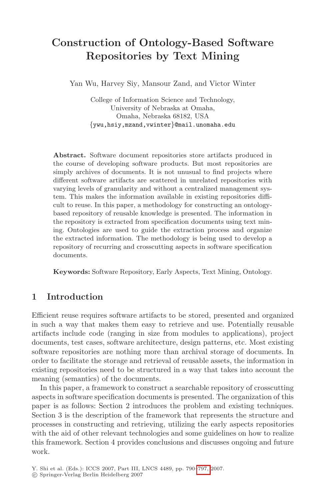# **Construction of Ontology-Based Software Repositories by Text Mining**

Yan Wu, Harvey Siy, Mansour Zand, and Victor Winter

College of Information Science and Technology, University of Nebraska at Omaha, Omaha, Nebraska 68182, USA {ywu,hsiy,mzand,vwinter}@mail.unomaha.edu

**Abstract.** Software document repositories store artifacts produced in the course of developing software products. But most repositories are simply archives of documents. It is not unusual to find projects where different software artifacts are scattered in unrelated repositories with varying levels of granularity and without a centralized management system. This makes the information available in existing repositories difficult to reuse. In this paper, a methodology for constructing an ontologybased repository of reusable knowledge is presented. The information in the repository is extracted from specification documents using text mining. Ontologies are used to guide the extraction process and organize the extracted information. The methodology is being used to develop a repository of recurring and crosscutting aspects in software specification documents.

**Keywords:** Software Repository, Early Aspects, Text Mining, Ontology.

## **1 Introduction**

Efficient reuse requires software artifacts to be stored, presented and organized in such a way that makes them easy to retrieve and use. Potentially reusable artifacts include code (ranging in size from modules to applications), project documents, test cases, software architecture, design patterns, etc. Most existing software repositories are nothing more than archival storage of documents. In order to facilitate the storage and retrieval of reusable assets, the information in existing repositories need to be structured in a way that takes into account the meaning (semantics) of the documents.

In this paper, a framework to construct a searchable repository of crosscutting aspects in software specification documents is presented. The organization of this paper is as follows: Section 2 introduces the problem and existing techniques. Section 3 is the description of the framework that represents the structure and processes in constructing and retrieving, utilizing the early aspects repositories with the aid of other relevant technologies and some guidelines on how to realize this framework. Section 4 provides conclusions and discusses ongoing and future work.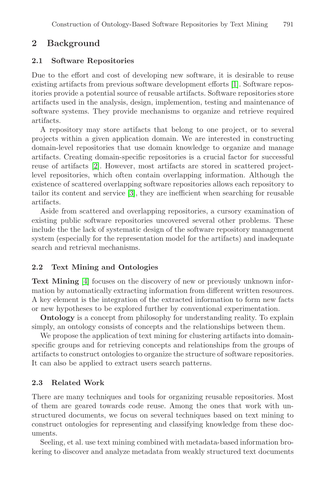### **2 Background**

#### **2.1 Software Repositories**

Due to the effort and cost of developing new software, it is desirable to reuse existing artifacts from previous software development efforts [1]. Software repositories provide a potential source of reusable artifacts. Software repositories store artifacts used in the analysis, design, implemention, testing and maintenance of software systems. They provide mechanisms to organize and retrieve required artifacts.

A repository may store artifacts that belong to one project, or to several projects within a given application domain. We are interested in constructing domain-level repositories that use domain knowledge to organize and manage artifacts. Creating domain-specific repositories is a crucial factor for successful reuse of artifacts [2]. However, most artifacts are stored in scattered projectlevel repositories, which often contain overlapping information. Although the existence of scattered overlapping software repositories allows each repository to tailor its content and service [3], they are inefficient when searching for reusable artifacts.

Aside from scattered and overlapping repositories, a cursory examination of existing public software repositories uncovered several other problems. These include the the lack of systematic design of the software repository management system (especially for the representation model for the artifacts) and inadequate search and retrieval mechanisms.

### **2.2 Text Mining and Ontologies**

**Text Mining** [4] focuses on the discovery of new or previously unknown information by automatically extracting information from different written resources. A key element is the integration of the extracted information to form new facts or new hypotheses to be explored further by conventional experimentation.

**Ontology** is a concept from philosophy for understanding reality. To explain simply, an ontology consists of concepts and the relationships between them.

We propose the application of text mining for clustering artifacts into domainspecific groups and for retrieving concepts and relationships from the groups of artifacts to construct ontologies to organize the structure of software repositories. It can also be applied to extract users search patterns.

#### **2.3 Related Work**

There are many techniques and tools for organizing reusable repositories. Most of them are geared towards code reuse. Among the ones that work with unstructured documents, we focus on several techniques based on text mining to construct ontologies for representing and classifying knowledge from these documents.

Seeling, et al. use text mining combined with metadata-based information brokering to discover and analyze metadata from weakly structured text documents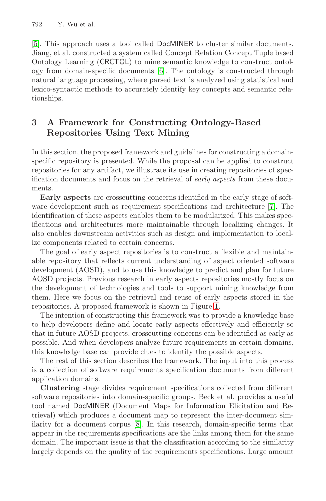[5]. This approach uses a tool called DocMINER to cluster similar documents. Jiang, et al. constructed a system called Concept Relation Concept Tuple based Ontology Learning (CRCTOL) to mine semantic knowledge to construct ontology from domain-specific documents [6]. The ontology is constructed through natural language processing, where parsed text is analyzed using statistical and lexico-syntactic methods to accurately identify key concepts and semantic relationships.

## **3 A Framework for Constructing Ontology-Based Repositories Using Text Mining**

In this section, the proposed framework and guidelines for constructing a domainspecific repository is presented. While the proposal can be applied to construct repositories for any artifact, we illustrate its use in creating repositories of specification documents and focus on the retrieval of early aspects from these documents.

**Early aspects** are crosscutting concerns identified in the early stage of software development such as requirement specifications and architecture [7]. The identification of these aspects enables them to be modularized. This makes specifications and architectures more maintainable through localizing changes. It also enables downstream activities such as design and implementation to localize components related to certain concerns.

The goal of early aspect repositories is to construct a flexible and maintainable repository that reflects current understanding of aspect oriented software development (AOSD), and to use this knowledge to predict and plan for future AOSD projects. Previous research in early aspects repositories mostly focus on the development of technologies and tools to support mining knowledge from them. Here we focus on the retrieval and reuse of early aspects stored in the repositories. A proposed framework is shown in Figure 1.

The intention of constructing this framework was to provide a knowledge base to help developers define and locate early aspects effectively and efficiently so that in future AOSD projects, crosscutting concerns can be identified as early as possible. And when developers analyze future requirements in certain domains, this knowledge base can provide clues to identify the possible aspects.

The rest of this section describes the framework. The input into this process is a collection of software requirements specification documents from different application domains.

**Clustering** stage divides requirement specifications collected from different software repositories into domain-specific groups. Beck et al. provides a useful tool named DocMINER (Document Maps for Information Elicitation and Retrieval) which produces a document map to represent the inter-document similarity for a document corpus [8]. In this research, domain-specific terms that appear in the requirements specifications are the links among them for the same domain. The important issue is that the classification according to the similarity largely depends on the quality of the requirements specifications. Large amount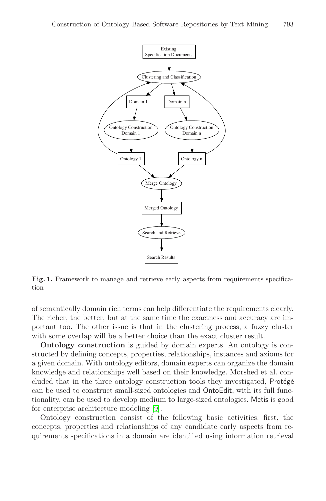

Fig. 1. Framework to manage and retrieve early aspects from requirements specification

of semantically domain rich terms can help differentiate the requirements clearly. The richer, the better, but at the same time the exactness and accuracy are important too. The other issue is that in the clustering process, a fuzzy cluster with some overlap will be a better choice than the exact cluster result.

**Ontology construction** is guided by domain experts. An ontology is constructed by defining concepts, properties, relationships, instances and axioms for a given domain. With ontology editors, domain experts can organize the domain knowledge and relationships well based on their knowledge. Morshed et al. concluded that in the three ontology construction tools they investigated, Protege can be used to construct small-sized ontologies and OntoEdit, with its full functionality, can be used to develop medium to large-sized ontologies. Metis is good for enterprise architecture modeling [9].

Ontology construction consist of the following basic activities: first, the concepts, properties and relationships of any candidate early aspects from requirements specifications in a domain are identified using information retrieval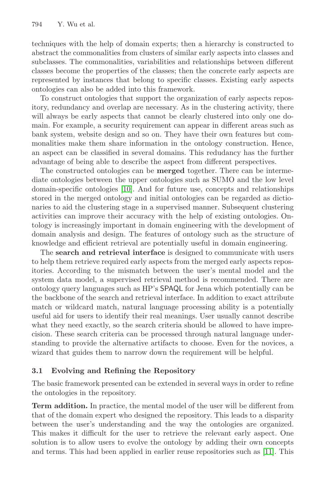techniques with the help of domain experts; then a hierarchy is constructed to abstract the commonalities from clusters of similar early aspects into classes and subclasses. The commonalities, variabilities and relationships between different classes become the properties of the classes; then the concrete early aspects are represented by instances that belong to specific classes. Existing early aspects ontologies can also be added into this framework.

To construct ontologies that support the organization of early aspects repository, redundancy and overlap are necessary. As in the clustering activity, there will always be early aspects that cannot be clearly clustered into only one domain. For example, a security requirement can appear in different areas such as bank system, website design and so on. They have their own features but commonalities make them share information in the ontology construction. Hence, an aspect can be classified in several domains. This redudancy has the further advantage of being able to describe the aspect from different perspectives.

The constructed ontologies can be **merged** together. There can be intermediate ontologies between the upper ontologies such as SUMO and the low level domain-specific ontologies [10]. And for future use, concepts and relationships stored in the merged ontology and initial ontologies can be regarded as dictionaries to aid the clustering stage in a supervised manner. Subsequent clustering activities can improve their accuracy with the help of existing ontologies. Ontology is increasingly important in domain engineering with the development of domain analysis and design. The features of ontology such as the structure of knowledge and efficient retrieval are potentially useful in domain engineering.

The **search and retrieval interface** is designed to communicate with users to help them retrieve required early aspects from the merged early aspects repositories. According to the mismatch between the user's mental model and the system data model, a supervised retrieval method is recommended. There are ontology query languages such as HP's SPAQL for Jena which potentially can be the backbone of the search and retrieval interface. In addition to exact attribute match or wildcard match, natural language processing ability is a potentially useful aid for users to identify their real meanings. User usually cannot describe what they need exactly, so the search criteria should be allowed to have imprecision. These search criteria can be processed through natural language understanding to provide the alternative artifacts to choose. Even for the novices, a wizard that guides them to narrow down the requirement will be helpful.

### **3.1 Evolving and Refining the Repository**

The basic framework presented can be extended in several ways in order to refine the ontologies in the repository.

**Term addition.** In practice, the mental model of the user will be different from that of the domain expert who designed the repository. This leads to a disparity between the user's understanding and the way the ontologies are organized. This makes it difficult for the user to retrieve the relevant early aspect. One solution is to allow users to evolve the ontology by adding their own concepts and terms. This had been applied in earlier reuse repositories such as [11]. This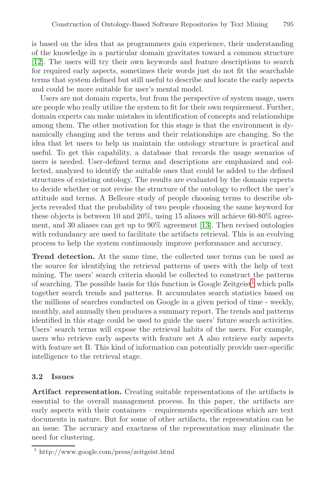is based on the idea that as programmers gain experience, their understanding of the knowledge in a particular domain gravitates toward a common structure [12]. The users will try their own keywords and feature descriptions to search for required early aspects, sometimes their words just do not fit the searchable terms that system defined but still useful to describe and locate the early aspects and could be more suitable for user's mental model.

Users are not domain experts, but from the perspective of system usage, users are people who really utilize the system to fit for their own requirement. Further, domain experts can make mistakes in identification of concepts and relationships among them. The other motivation for this stage is that the environment is dynamically changing and the terms and their relationships are changing. So the idea that let users to help us maintain the ontology structure is practical and useful. To get this capability, a database that records the usage scenarios of users is needed. User-defined terms and descriptions are emphasized and collected, analyzed to identify the suitable ones that could be added to the defined structures of existing ontology. The results are evaluated by the domain experts to decide whether or not revise the structure of the ontology to reflect the user's attitude and terms. A Bellcore study of people choosing terms to describe objects revealed that the probability of two people choosing the same keyword for these objects is between 10 and 20%, using 15 aliases will achieve 60-80% agreement, and 30 aliases can get up to 90% agreement [13]. Then revised ontologies with redundancy are used to facilitate the artifacts retrieval. This is an evolving process to help the system continuously improve performance and accuracy.

**Trend detection.** At the same time, the collected user terms can be used as the source for identifying the retrieval patterns of users with the help of text mining. The users' search criteria should be collected to construct the patterns of searching. The possible basis for this function is Google Zeitgeist<sup>1</sup> which pulls together search trends and patterns. It accumulates search statistics based on the millions of searches conducted on Google in a given period of time - weekly, monthly, and annually then produces a summary report. The trends and patterns identified in this stage could be used to guide the users' future search activities. Users' search terms will expose the retrieval habits of the users. For example, users who retrieve early aspects with feature set A also retrieve early aspects with feature set B. This kind of information can potentially provide user-specific intelligence to the retrieval stage.

### **3.2 Issues**

**Artifact representation.** Creating suitable representations of the artifacts is essential to the overall management process. In this paper, the artifacts are early aspects with their containers – requirements specifications which are text documents in nature. But for some of other artifacts, the representation can be an issue. The accuracy and exactness of the representation may eliminate the need for clustering.

<sup>1</sup> http://www.google.com/press/zeitgeist.html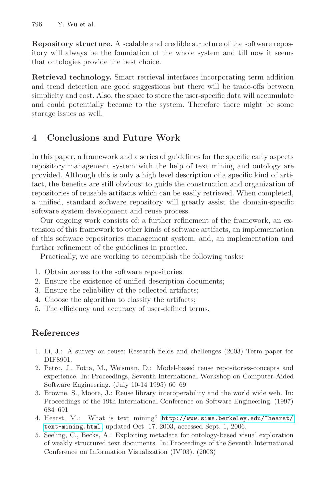**Repository structure.** A scalable and credible structure of the software repository will always be the foundation of the whole system and till now it seems that ontologies provide the best choice.

**Retrieval technology.** Smart retrieval interfaces incorporating term addition and trend detection are good suggestions but there will be trade-offs between simplicity and cost. Also, the space to store the user-specific data will accumulate and could potentially become to the system. Therefore there might be some storage issues as well.

## **4 Conclusions and Future Work**

In this paper, a framework and a series of guidelines for the specific early aspects repository management system with the help of text mining and ontology are provided. Although this is only a high level description of a specific kind of artifact, the benefits are still obvious: to guide the construction and organization of repositories of reusable artifacts which can be easily retrieved. When completed, a unified, standard software repository will greatly assist the domain-specific software system development and reuse process.

Our ongoing work consists of: a further refinement of the framework, an extension of this framework to other kinds of software artifacts, an implementation of this software repositories management system, and, an implementation and further refinement of the guidelines in practice.

Practically, we are working to accomplish the following tasks:

- 1. Obtain access to the software repositories.
- 2. Ensure the existence of unified description documents;
- 3. Ensure the reliability of the collected artifacts;
- 4. Choose the algorithm to classify the artifacts;
- 5. The efficiency and accuracy of user-defined terms.

## **References**

- 1. Li, J.: A survey on reuse: Research fields and challenges (2003) Term paper for DIF8901.
- 2. Petro, J., Fotta, M., Weisman, D.: Model-based reuse repositories-concepts and experience. In: Proceedings, Seventh International Workshop on Computer-Aided Software Engineering. (July 10-14 1995) 60–69
- 3. Browne, S., Moore, J.: Reuse library interoperability and the world wide web. In: Proceedings of the 19th International Conference on Software Engineering. (1997) 684–691
- 4. Hearst, M.: What is text mining? [http://www.sims.berkeley.edu/~hearst/](http://www.sims.berkeley.edu/~{ }hearst/text-mining.html) [text-mining.html](http://www.sims.berkeley.edu/~{ }hearst/text-mining.html), updated Oct. 17, 2003, accessed Sept. 1, 2006.
- 5. Seeling, C., Becks, A.: Exploiting metadata for ontology-based visual exploration of weakly structured text documents. In: Proceedings of the Seventh International Conference on Information Visualization (IV'03). (2003)